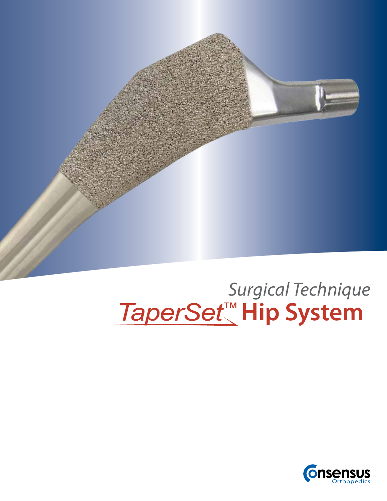

# **Hip System** *Surgical Technique*

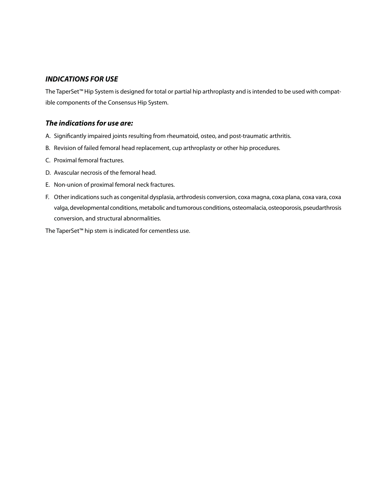#### *INDICATIONS FOR USE*

The TaperSet™ Hip System is designed for total or partial hip arthroplasty and is intended to be used with compatible components of the Consensus Hip System.

#### *The indications for use are:*

- A. Significantly impaired joints resulting from rheumatoid, osteo, and post-traumatic arthritis.
- B. Revision of failed femoral head replacement, cup arthroplasty or other hip procedures.
- C. Proximal femoral fractures.
- D. Avascular necrosis of the femoral head.
- E. Non-union of proximal femoral neck fractures.
- F. Other indications such as congenital dysplasia, arthrodesis conversion, coxa magna, coxa plana, coxa vara, coxa valga, developmental conditions, metabolic and tumorous conditions, osteomalacia, osteoporosis, pseudarthrosis conversion, and structural abnormalities.

The TaperSet™ hip stem is indicated for cementless use.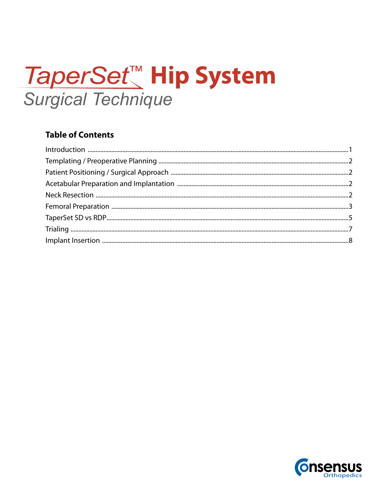# *TaperSet™* Hip System **Surgical Technique**

## **Table of Contents**

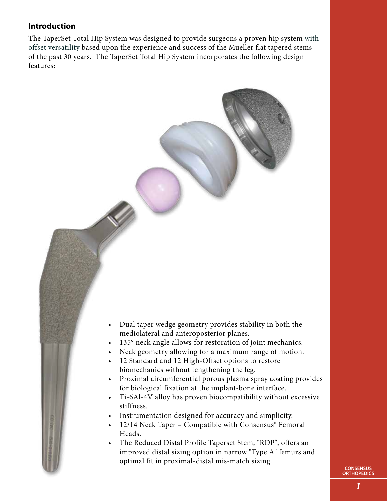### **Introduction**

The TaperSet Total Hip System was designed to provide surgeons a proven hip system with offset versatility based upon the experience and success of the Mueller flat tapered stems of the past 30 years. The TaperSet Total Hip System incorporates the following design features:

- • Dual taper wedge geometry provides stability in both the mediolateral and anteroposterior planes.
- 135° neck angle allows for restoration of joint mechanics.
- Neck geometry allowing for a maximum range of motion.
- 12 Standard and 12 High-Offset options to restore biomechanics without lengthening the leg.
- • Proximal circumferential porous plasma spray coating provides for biological fixation at the implant-bone interface.
- • Ti-6Al-4V alloy has proven biocompatibility without excessive stiffness.
- Instrumentation designed for accuracy and simplicity.
- 12/14 Neck Taper Compatible with Consensus® Femoral Heads.
- The Reduced Distal Profile Taperset Stem, "RDP", offers an improved distal sizing option in narrow "Type A" femurs and optimal fit in proximal-distal mis-match sizing.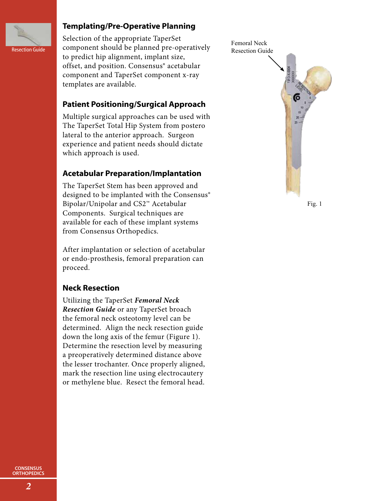

#### **Templating/Pre-Operative Planning**

Selection of the appropriate TaperSet Resection Guide component should be planned pre-operatively Resection Guide to predict hip alignment, implant size, offset, and position. Consensus® acetabular component and TaperSet component x-ray templates are available.

### **Patient Positioning/Surgical Approach**

Multiple surgical approaches can be used with The TaperSet Total Hip System from postero lateral to the anterior approach. Surgeon experience and patient needs should dictate which approach is used.

### **Acetabular Preparation/Implantation**

The TaperSet Stem has been approved and designed to be implanted with the Consensus® Bipolar/Unipolar and CS2™ Acetabular Components. Surgical techniques are available for each of these implant systems from Consensus Orthopedics.

After implantation or selection of acetabular or endo-prosthesis, femoral preparation can proceed.

#### **Neck Resection**

Utilizing the TaperSet *Femoral Neck Resection Guide* or any TaperSet broach the femoral neck osteotomy level can be determined. Align the neck resection guide down the long axis of the femur (Figure 1). Determine the resection level by measuring a preoperatively determined distance above the lesser trochanter. Once properly aligned, mark the resection line using electrocautery or methylene blue. Resect the femoral head.



Fig. 1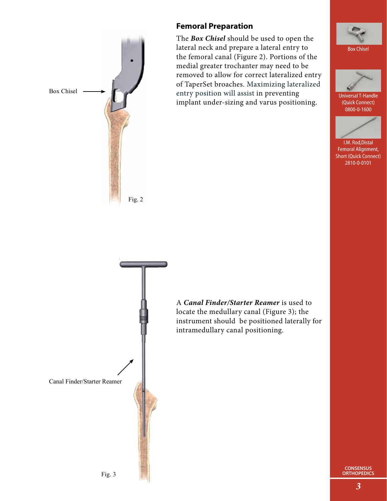

#### **Femoral Preparation**

The *Box Chisel* should be used to open the lateral neck and prepare a lateral entry to the femoral canal (Figure 2). Portions of the medial greater trochanter may need to be removed to allow for correct lateralized entry of TaperSet broaches. Maximizing lateralized entry position will assist in preventing implant under-sizing and varus positioning.





Universal T-Handle (Quick Connect) 0800-0-1600



Femoral Alignment, Short (Quick Connect) 2810-0-0101



**CONSENSUS ORTHOPEDICS**

*3*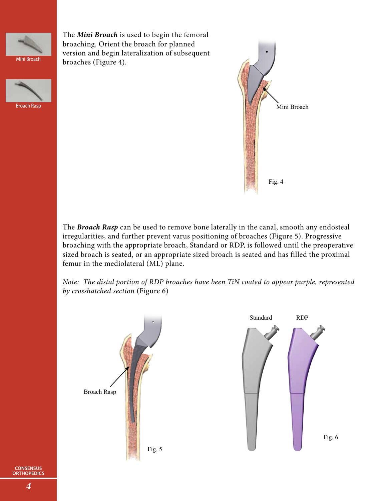

The *Mini Broach* is used to begin the femoral broaching. Orient the broach for planned version and begin lateralization of subsequent broaches (Figure 4).





The *Broach Rasp* can be used to remove bone laterally in the canal, smooth any endosteal irregularities, and further prevent varus positioning of broaches (Figure 5). Progressive broaching with the appropriate broach, Standard or RDP, is followed until the preoperative sized broach is seated, or an appropriate sized broach is seated and has filled the proximal femur in the mediolateral (ML) plane.

*Note: The distal portion of RDP broaches have been TiN coated to appear purple, represented by crosshatched section* (Figure 6)

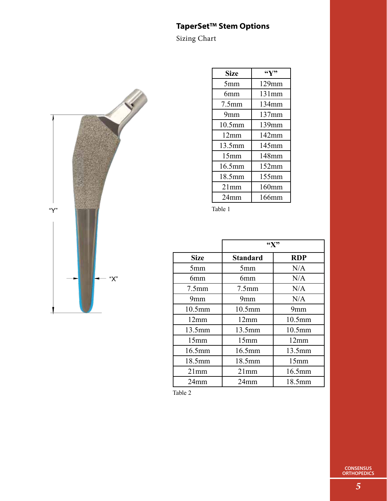## **TaperSet™ Stem Options**

Sizing Chart



| <b>Size</b>       | $\mathfrak{C}(\mathbf{V})$ |
|-------------------|----------------------------|
| 5mm               | $129$ mm                   |
| 6mm               | 131mm                      |
| 7.5 <sub>mm</sub> | 134mm                      |
| 9mm               | $137$ mm                   |
| $10.5$ mm         | $139$ mm                   |
| 12mm              | $142$ mm                   |
| 13.5mm            | 145mm                      |
| 15mm              | 148mm                      |
| 16.5mm            | 152mm                      |
| 18.5mm            | $155$ mm                   |
| 21mm              | 160mm                      |
| 24 <sub>mm</sub>  | 166mm                      |

Table 1

|                    | $\mathbf{W}$    |            |
|--------------------|-----------------|------------|
| Size               | <b>Standard</b> | <b>RDP</b> |
| 5mm                | 5mm             | N/A        |
| 6mm                | 6mm             | N/A        |
| 7.5 <sub>mm</sub>  | $7.5$ mm        | N/A        |
| 9mm                | 9mm             | N/A        |
| 10.5 <sub>mm</sub> | 10.5mm          | 9mm        |
| 12mm               | 12mm            | 10.5mm     |
| 13.5mm             | 13.5mm          | 10.5mm     |
| 15mm               | 15mm            | 12mm       |
| 16.5mm             | 16.5mm          | 13.5mm     |
| 18.5mm             | 18.5mm          | 15mm       |
| 21mm               | 21mm            | 16.5mm     |
| 24mm               | 24mm            | 18.5mm     |

Table 2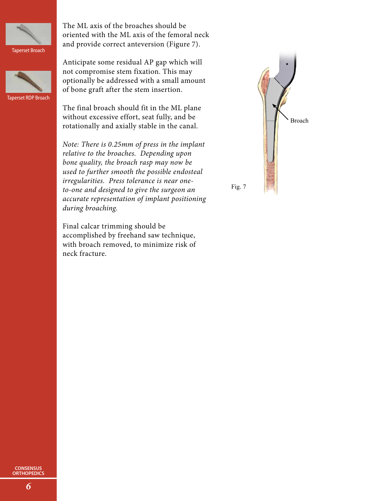

Taperset Broach



Taperset RDP Broach

The ML axis of the broaches should be oriented with the ML axis of the femoral neck and provide correct anteversion (Figure 7).

Anticipate some residual AP gap which will not compromise stem fixation. This may optionally be addressed with a small amount of bone graft after the stem insertion.

The final broach should fit in the ML plane without excessive effort, seat fully, and be rotationally and axially stable in the canal.

*Note: There is 0.25mm of press in the implant relative to the broaches. Depending upon bone quality, the broach rasp may now be used to further smooth the possible endosteal irregularities. Press tolerance is near oneto-one and designed to give the surgeon an accurate representation of implant positioning during broaching.* 

Final calcar trimming should be accomplished by freehand saw technique, with broach removed, to minimize risk of neck fracture.

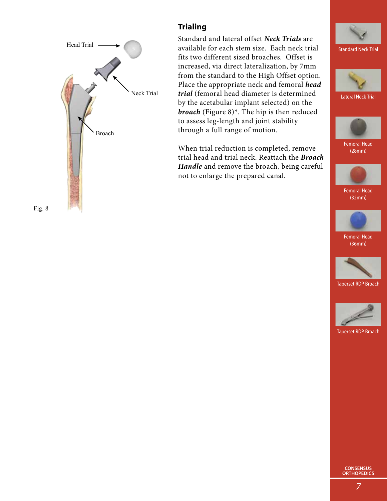

## **Trialing**

Standard and lateral offset *Neck Trials* are available for each stem size. Each neck trial fits two different sized broaches. Offset is increased, via direct lateralization, by 7mm from the standard to the High Offset option. Place the appropriate neck and femoral *head trial* (femoral head diameter is determined by the acetabular implant selected) on the *broach* (Figure 8)\*. The hip is then reduced to assess leg-length and joint stability through a full range of motion.

When trial reduction is completed, remove trial head and trial neck. Reattach the *Broach Handle* and remove the broach, being careful not to enlarge the prepared canal.





Lateral Neck Trial



Femoral Head (28mm)



Femoral Head (32mm)



Femoral Head (36mm)



Taperset RDP Broach



Taperset RDP Broach

**CONSENSUS ORTHOPEDICS**

Fig. 8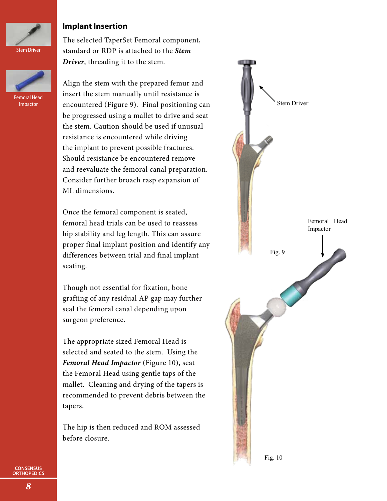

Femoral Head Impactor

#### **Implant Insertion**

The selected TaperSet Femoral component, standard or RDP is attached to the *Stem Driver*, threading it to the stem.

Align the stem with the prepared femur and insert the stem manually until resistance is encountered (Figure 9). Final positioning can be progressed using a mallet to drive and seat the stem. Caution should be used if unusual resistance is encountered while driving the implant to prevent possible fractures. Should resistance be encountered remove and reevaluate the femoral canal preparation. Consider further broach rasp expansion of ML dimensions.

Once the femoral component is seated, femoral head trials can be used to reassess hip stability and leg length. This can assure proper final implant position and identify any differences between trial and final implant seating.

Though not essential for fixation, bone grafting of any residual AP gap may further seal the femoral canal depending upon surgeon preference.

The appropriate sized Femoral Head is selected and seated to the stem. Using the *Femoral Head Impactor* (Figure 10), seat the Femoral Head using gentle taps of the mallet. Cleaning and drying of the tapers is recommended to prevent debris between the tapers.

The hip is then reduced and ROM assessed before closure.